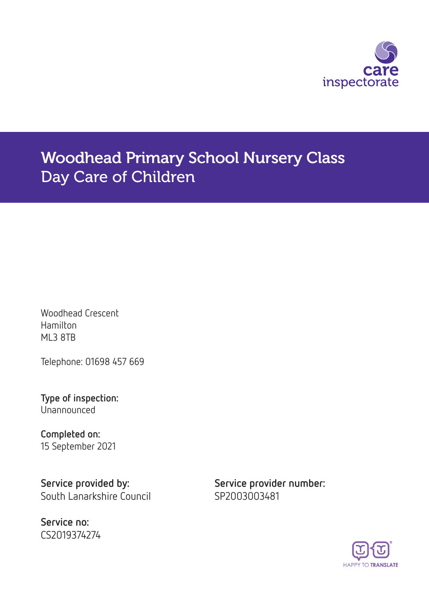

# Woodhead Primary School Nursery Class Day Care of Children

Woodhead Crescent Hamilton ML3 8TB

Telephone: 01698 457 669

Type of inspection: Unannounced

Completed on: 15 September 2021

Service provided by: Service provider number: South Lanarkshire Council SP2003003481

Service no: CS2019374274

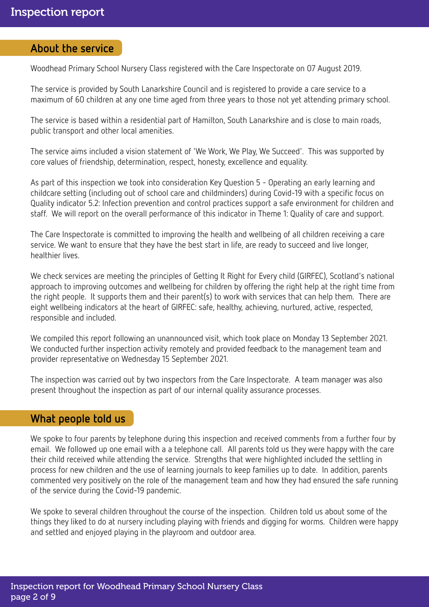### About the service

Woodhead Primary School Nursery Class registered with the Care Inspectorate on 07 August 2019.

The service is provided by South Lanarkshire Council and is registered to provide a care service to a maximum of 60 children at any one time aged from three years to those not yet attending primary school.

The service is based within a residential part of Hamilton, South Lanarkshire and is close to main roads, public transport and other local amenities.

The service aims included a vision statement of 'We Work, We Play, We Succeed'. This was supported by core values of friendship, determination, respect, honesty, excellence and equality.

As part of this inspection we took into consideration Key Question 5 - Operating an early learning and childcare setting (including out of school care and childminders) during Covid-19 with a specific focus on Quality indicator 5.2: Infection prevention and control practices support a safe environment for children and staff. We will report on the overall performance of this indicator in Theme 1: Quality of care and support.

The Care Inspectorate is committed to improving the health and wellbeing of all children receiving a care service. We want to ensure that they have the best start in life, are ready to succeed and live longer, healthier lives.

We check services are meeting the principles of Getting It Right for Every child (GIRFEC), Scotland's national approach to improving outcomes and wellbeing for children by offering the right help at the right time from the right people. It supports them and their parent(s) to work with services that can help them. There are eight wellbeing indicators at the heart of GIRFEC: safe, healthy, achieving, nurtured, active, respected, responsible and included.

We compiled this report following an unannounced visit, which took place on Monday 13 September 2021. We conducted further inspection activity remotely and provided feedback to the management team and provider representative on Wednesday 15 September 2021.

The inspection was carried out by two inspectors from the Care Inspectorate. A team manager was also present throughout the inspection as part of our internal quality assurance processes.

# What people told us

We spoke to four parents by telephone during this inspection and received comments from a further four by email. We followed up one email with a a telephone call. All parents told us they were happy with the care their child received while attending the service. Strengths that were highlighted included the settling in process for new children and the use of learning journals to keep families up to date. In addition, parents commented very positively on the role of the management team and how they had ensured the safe running of the service during the Covid-19 pandemic.

We spoke to several children throughout the course of the inspection. Children told us about some of the things they liked to do at nursery including playing with friends and digging for worms. Children were happy and settled and enjoyed playing in the playroom and outdoor area.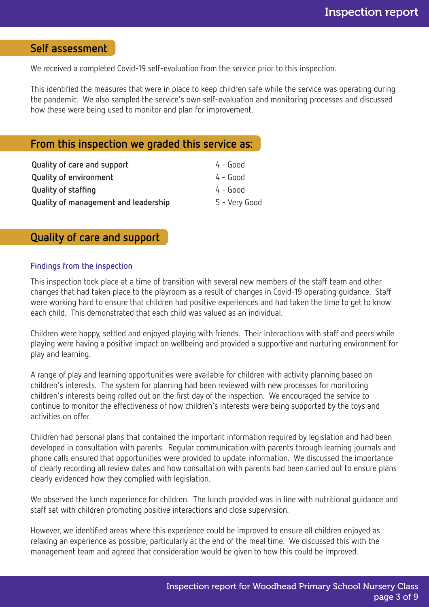# Self assessment

We received a completed Covid-19 self-evaluation from the service prior to this inspection.

This identified the measures that were in place to keep children safe while the service was operating during the pandemic. We also sampled the service's own self-evaluation and monitoring processes and discussed how these were being used to monitor and plan for improvement.

# From this inspection we graded this service as:

| Quality of care and support          | 4 - Good      |
|--------------------------------------|---------------|
| <b>Quality of environment</b>        | 4 - Good      |
| <b>Quality of staffing</b>           | $4 - Good$    |
| Quality of management and leadership | 5 - Very Good |

# Quality of care and support

#### Findings from the inspection

This inspection took place at a time of transition with several new members of the staff team and other changes that had taken place to the playroom as a result of changes in Covid-19 operating guidance. Staff were working hard to ensure that children had positive experiences and had taken the time to get to know each child. This demonstrated that each child was valued as an individual.

Children were happy, settled and enjoyed playing with friends. Their interactions with staff and peers while playing were having a positive impact on wellbeing and provided a supportive and nurturing environment for play and learning.

A range of play and learning opportunities were available for children with activity planning based on children's interests. The system for planning had been reviewed with new processes for monitoring children's interests being rolled out on the first day of the inspection. We encouraged the service to continue to monitor the effectiveness of how children's interests were being supported by the toys and activities on offer.

Children had personal plans that contained the important information required by legislation and had been developed in consultation with parents. Regular communication with parents through learning journals and phone calls ensured that opportunities were provided to update information. We discussed the importance of clearly recording all review dates and how consultation with parents had been carried out to ensure plans clearly evidenced how they complied with legislation.

We observed the lunch experience for children. The lunch provided was in line with nutritional guidance and staff sat with children promoting positive interactions and close supervision.

However, we identified areas where this experience could be improved to ensure all children enjoyed as relaxing an experience as possible, particularly at the end of the meal time. We discussed this with the management team and agreed that consideration would be given to how this could be improved.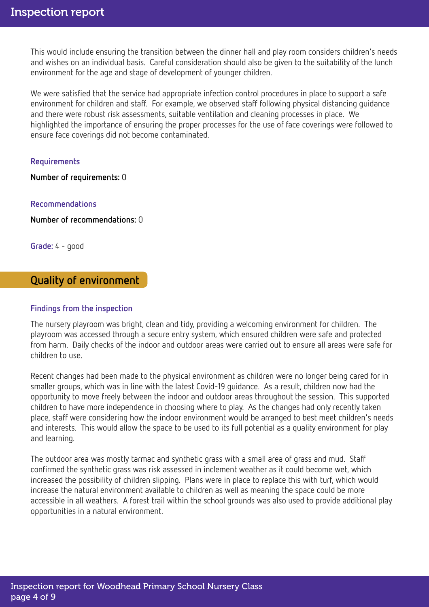This would include ensuring the transition between the dinner hall and play room considers children's needs and wishes on an individual basis. Careful consideration should also be given to the suitability of the lunch environment for the age and stage of development of younger children.

We were satisfied that the service had appropriate infection control procedures in place to support a safe environment for children and staff. For example, we observed staff following physical distancing guidance and there were robust risk assessments, suitable ventilation and cleaning processes in place. We highlighted the importance of ensuring the proper processes for the use of face coverings were followed to ensure face coverings did not become contaminated.

#### Requirements

Number of requirements: 0

#### Recommendations

Number of recommendations: 0

Grade: 4 - good

### Quality of environment

#### Findings from the inspection

The nursery playroom was bright, clean and tidy, providing a welcoming environment for children. The playroom was accessed through a secure entry system, which ensured children were safe and protected from harm. Daily checks of the indoor and outdoor areas were carried out to ensure all areas were safe for children to use.

Recent changes had been made to the physical environment as children were no longer being cared for in smaller groups, which was in line with the latest Covid-19 guidance. As a result, children now had the opportunity to move freely between the indoor and outdoor areas throughout the session. This supported children to have more independence in choosing where to play. As the changes had only recently taken place, staff were considering how the indoor environment would be arranged to best meet children's needs and interests. This would allow the space to be used to its full potential as a quality environment for play and learning.

The outdoor area was mostly tarmac and synthetic grass with a small area of grass and mud. Staff confirmed the synthetic grass was risk assessed in inclement weather as it could become wet, which increased the possibility of children slipping. Plans were in place to replace this with turf, which would increase the natural environment available to children as well as meaning the space could be more accessible in all weathers. A forest trail within the school grounds was also used to provide additional play opportunities in a natural environment.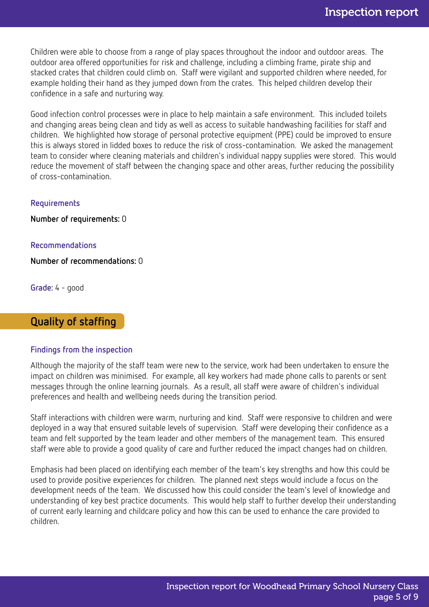Children were able to choose from a range of play spaces throughout the indoor and outdoor areas. The outdoor area offered opportunities for risk and challenge, including a climbing frame, pirate ship and stacked crates that children could climb on. Staff were vigilant and supported children where needed, for example holding their hand as they jumped down from the crates. This helped children develop their confidence in a safe and nurturing way.

Good infection control processes were in place to help maintain a safe environment. This included toilets and changing areas being clean and tidy as well as access to suitable handwashing facilities for staff and children. We highlighted how storage of personal protective equipment (PPE) could be improved to ensure this is always stored in lidded boxes to reduce the risk of cross-contamination. We asked the management team to consider where cleaning materials and children's individual nappy supplies were stored. This would reduce the movement of staff between the changing space and other areas, further reducing the possibility of cross-contamination.

#### Requirements

Number of requirements: 0

#### Recommendations

Number of recommendations: 0

Grade: 4 - good

# Quality of staffing

#### Findings from the inspection

Although the majority of the staff team were new to the service, work had been undertaken to ensure the impact on children was minimised. For example, all key workers had made phone calls to parents or sent messages through the online learning journals. As a result, all staff were aware of children's individual preferences and health and wellbeing needs during the transition period.

Staff interactions with children were warm, nurturing and kind. Staff were responsive to children and were deployed in a way that ensured suitable levels of supervision. Staff were developing their confidence as a team and felt supported by the team leader and other members of the management team. This ensured staff were able to provide a good quality of care and further reduced the impact changes had on children.

Emphasis had been placed on identifying each member of the team's key strengths and how this could be used to provide positive experiences for children. The planned next steps would include a focus on the development needs of the team. We discussed how this could consider the team's level of knowledge and understanding of key best practice documents. This would help staff to further develop their understanding of current early learning and childcare policy and how this can be used to enhance the care provided to children.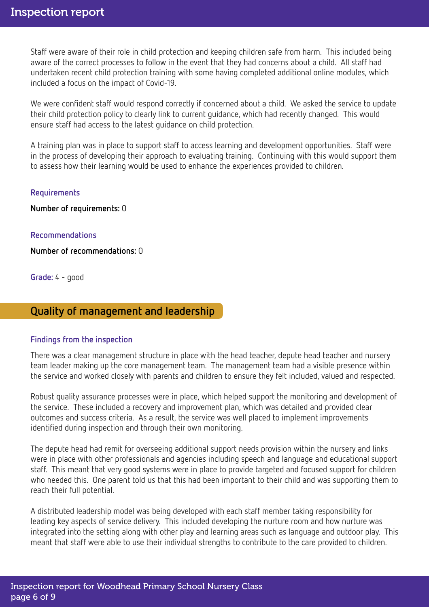Staff were aware of their role in child protection and keeping children safe from harm. This included being aware of the correct processes to follow in the event that they had concerns about a child. All staff had undertaken recent child protection training with some having completed additional online modules, which included a focus on the impact of Covid-19.

We were confident staff would respond correctly if concerned about a child. We asked the service to update their child protection policy to clearly link to current guidance, which had recently changed. This would ensure staff had access to the latest guidance on child protection.

A training plan was in place to support staff to access learning and development opportunities. Staff were in the process of developing their approach to evaluating training. Continuing with this would support them to assess how their learning would be used to enhance the experiences provided to children.

#### Requirements

Number of requirements: 0

#### Recommendations

Number of recommendations: 0

Grade: 4 - good

# Quality of management and leadership

#### Findings from the inspection

There was a clear management structure in place with the head teacher, depute head teacher and nursery team leader making up the core management team. The management team had a visible presence within the service and worked closely with parents and children to ensure they felt included, valued and respected.

Robust quality assurance processes were in place, which helped support the monitoring and development of the service. These included a recovery and improvement plan, which was detailed and provided clear outcomes and success criteria. As a result, the service was well placed to implement improvements identified during inspection and through their own monitoring.

The depute head had remit for overseeing additional support needs provision within the nursery and links were in place with other professionals and agencies including speech and language and educational support staff. This meant that very good systems were in place to provide targeted and focused support for children who needed this. One parent told us that this had been important to their child and was supporting them to reach their full potential.

A distributed leadership model was being developed with each staff member taking responsibility for leading key aspects of service delivery. This included developing the nurture room and how nurture was integrated into the setting along with other play and learning areas such as language and outdoor play. This meant that staff were able to use their individual strengths to contribute to the care provided to children.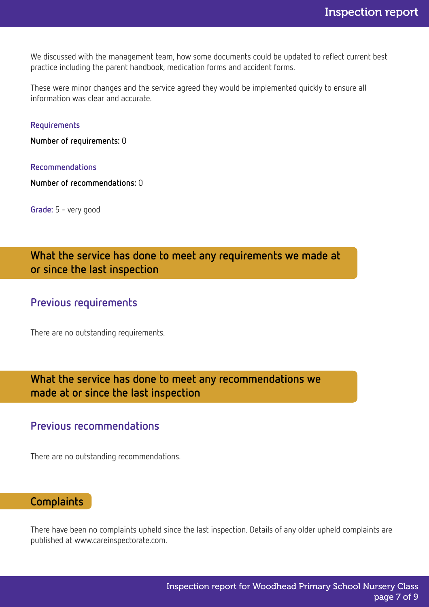We discussed with the management team, how some documents could be updated to reflect current best practice including the parent handbook, medication forms and accident forms.

These were minor changes and the service agreed they would be implemented quickly to ensure all information was clear and accurate.

#### Requirements

Number of requirements: 0

#### Recommendations

Number of recommendations: 0

Grade: 5 - very good

What the service has done to meet any requirements we made at or since the last inspection

# Previous requirements

There are no outstanding requirements.

What the service has done to meet any recommendations we made at or since the last inspection

# Previous recommendations

There are no outstanding recommendations.

# **Complaints**

There have been no complaints upheld since the last inspection. Details of any older upheld complaints are published at www.careinspectorate.com.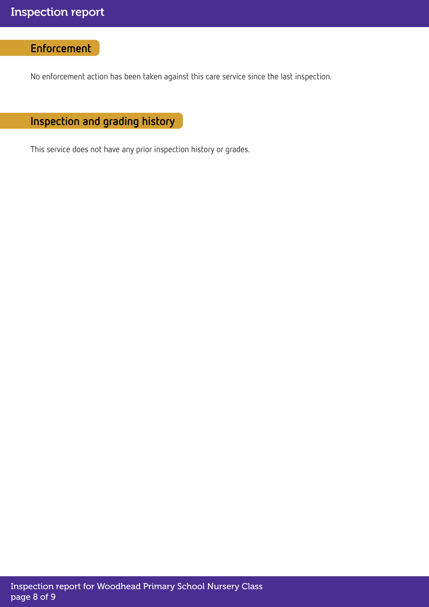# Enforcement

No enforcement action has been taken against this care service since the last inspection.

Inspection and grading history

This service does not have any prior inspection history or grades.